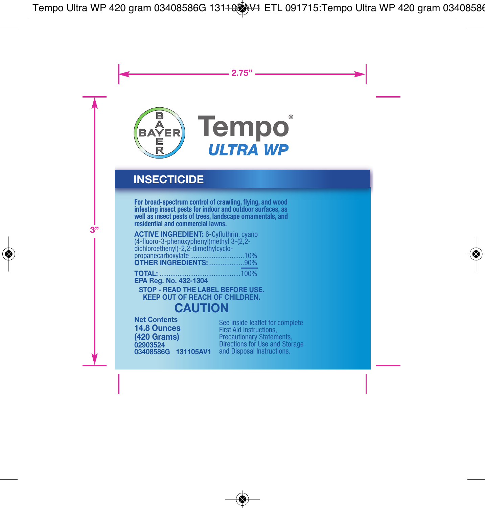

## **INSECTICIDE**

For broad-spectrum control of crawling, flying, and wood<br>infesting insect pests for indoor and outdoor surfaces, as<br>well as insect pests of trees, landscape ornamentals, and<br>residential and commercial lawns.

**ACTIVE INGREDIENT:** ß-Cyfluthrin, cyano (4-fluoro-3-phenoxyphenyl)methyl 3-(2,2 dichloroethenyl)-2,2-dimethylcyclo-<br>propanecarboxylate ................................10% **OTHER INGREDIENTS:**....................90%

**TOTAL:** .............................................100% **EPA Reg. No. 432-1304 STOP - READ THE LABEL BEFORE USE. KEEP OUT OF REACH OF CHILDREN.**

## **CAUTION**

**02903524 03408586G 131105AV1 Net Contents 14.8 Ounces (420 Grams)**

See inside leaflet for complete<br>First Aid Instructions,<br>Precautionary Statements,<br>Directions for Use and Storage<br>and Disposal Instructions.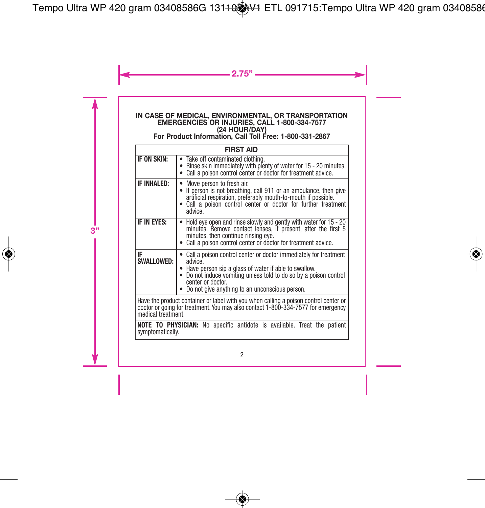# **IN CASE OF MEDICAL, ENVIRONMENTAL, OR TRANSPORTATION EMERGENCIES OR INJURIES, CALL 1-800-334-7577 (24 HOUR/DAY) For Product Information, Call Toll Free: 1-800-331-2867**

| <b>FIRST AID</b>                                                                                                                                                                               |                                                                                                                                                                                                                                                                                   |  |
|------------------------------------------------------------------------------------------------------------------------------------------------------------------------------------------------|-----------------------------------------------------------------------------------------------------------------------------------------------------------------------------------------------------------------------------------------------------------------------------------|--|
| IF ON SKIN:                                                                                                                                                                                    | Take off contaminated clothing.<br>• Rinse skin immediately with plenty of water for 15 - 20 minutes.<br>• Call a poison control center or doctor for treatment advice.                                                                                                           |  |
| <b>IF INHALED:</b>                                                                                                                                                                             | Move person to fresh air.<br>If person is not breathing, call 911 or an ambulance, then give<br>٠<br>artificial respiration, preferably mouth-to-mouth if possible.<br>Call a poison control center or doctor for further treatment<br>advice.                                    |  |
| IF IN EYES:                                                                                                                                                                                    | Hold eye open and rinse slowly and gently with water for 15 - 20<br>minutes. Remove contact lenses, if present, after the first 5<br>minutes, then continue rinsing eye.<br>Call a poison control center or doctor for treatment advice.                                          |  |
| IF<br><b>SWALLOWED:</b>                                                                                                                                                                        | Call a poison control center or doctor immediately for treatment<br>advice.<br>• Have person sip a glass of water if able to swallow.<br>Do not induce vomiting unless told to do so by a poison control<br>center or doctor.<br>• Do not give anything to an unconscious person. |  |
| Have the product container or label with you when calling a poison control center or<br>doctor or going for treatment. You may also contact 1-800-334-7577 for emergency<br>medical treatment. |                                                                                                                                                                                                                                                                                   |  |
| <b>NOTE TO PHYSICIAN:</b> No specific antidote is available. Treat the patient<br>symptomatically.                                                                                             |                                                                                                                                                                                                                                                                                   |  |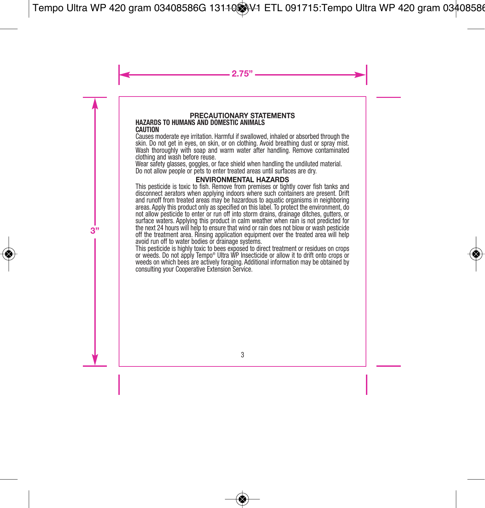#### **PRECAUTIONARY STATEMENTS HAZARDS TO HUMANS AND DOMESTIC ANIMALS CAUTION**

Causes moderate eye irritation. Harmful if swallowed, inhaled or absorbed through the skin. Do not get in eyes, on skin, or on clothing. Avoid breathing dust or spray mist. Wash thoroughly with soap and warm water after handling. Remove contaminated clothing and wash before reuse.

Wear safety glasses, goggles, or face shield when handling the undiluted material. Do not allow people or pets to enter treated areas until surfaces are dry.

#### **ENVIRONMENTAL HAZARDS**

This pesticide is toxic to fish. Remove from premises or tightly cover fish tanks and disconnect aerators when applying indoors where such containers are present. Drift and runoff from treated areas may be hazardous to aquatic organisms in neighboring areas. Apply this product only as specified on this label. To protect the environment, do not allow pesticide to enter or run off into storm drains, drainage ditches, gutters, or surface waters. Applying this product in calm weather when rain is not predicted for the next 24 hours will help to ensure that wind or rain does not blow or wash pesticide off the treatment area. Rinsing application equipment over the treated area will help avoid run off to water bodies or drainage systems.

This pesticide is highly toxic to bees exposed to direct treatment or residues on crops or weeds. Do not apply Tempo® Ultra WP Insecticide or allow it to drift onto crops or weeds on which bees are actively foraging. Additional information may be obtained by consulting your Cooperative Extension Service.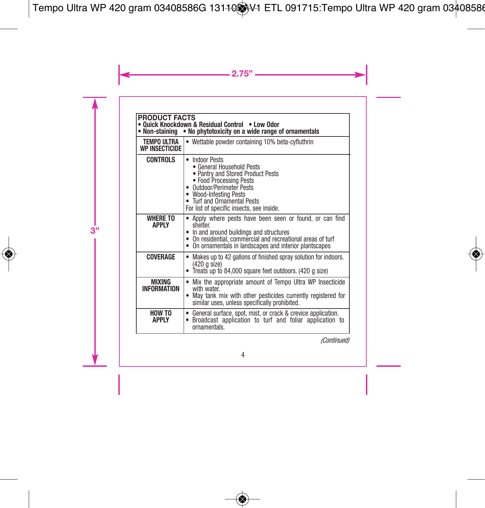| <b>PRODUCT FACTS</b><br>Quick Knockdown & Residual Control . Low Odor<br>• Non-staining • No phytotoxicity on a wide range of ornamentals |                                                                                                                                                                                                                                                          |  |
|-------------------------------------------------------------------------------------------------------------------------------------------|----------------------------------------------------------------------------------------------------------------------------------------------------------------------------------------------------------------------------------------------------------|--|
| TEMPO ULTRA<br>WP INSECTICIDE                                                                                                             | Wettable powder containing 10% beta-cyfluthrin                                                                                                                                                                                                           |  |
| <b>CONTROLS</b>                                                                                                                           | <b>Indoor Pests</b><br>٠<br>• General Household Pests<br>· Pantry and Stored Product Pests<br>• Food Processing Pests<br>• Outdoor/Perimeter Pests<br>• Wood-Infesting Pests<br>• Turf and Ornamental Pests<br>For list of specific insects, see inside. |  |
| <b>WHERE TO</b><br><b>APPIY</b>                                                                                                           | Apply where pests have been seen or found, or can find<br>shelter.<br>• In and around buildings and structures<br>• On residential, commercial and recreational areas of turf<br>• On ornamentals in landscapes and interior plantscapes                 |  |
| COVERAGE                                                                                                                                  | Makes up to 42 gallons of finished spray solution for indoors.<br>٠<br>(420 g size)<br>• Treats up to 84,000 square feet outdoors. (420 g size)                                                                                                          |  |
| <b>MIXING</b><br><b>INFORMATION</b>                                                                                                       | Mix the appropriate amount of Tempo Ultra WP Insecticide<br>٠<br>with water<br>May tank mix with other pesticides currently registered for<br>٠<br>similar uses, unless specifically prohibited.                                                         |  |
| HOW TO<br><b>APPLY</b>                                                                                                                    | General surface, spot, mist, or crack & crevice application.<br>Broadcast application to turf and foliar application to<br>٠<br>ornamentals                                                                                                              |  |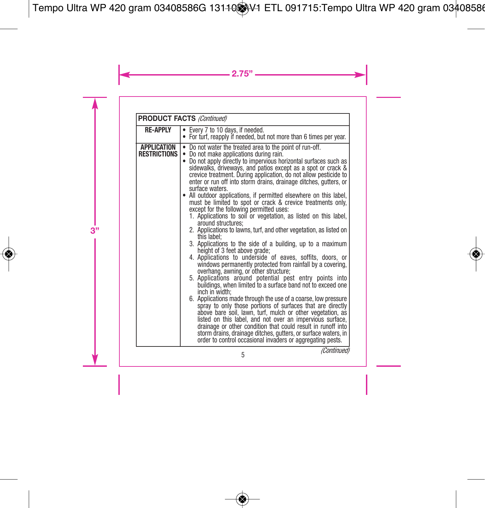| <b>PRODUCT FACTS (Continued)</b>          |                                                                                                                                                                                                                                                                                                                                                                                                                                                                                                                                                                                                                                                                                                                                                                                                                                                                                                                                                                                                                                                                                                                                                                                                                                                                                                                                                                                                                                                                                                                                                                                                                                        |  |
|-------------------------------------------|----------------------------------------------------------------------------------------------------------------------------------------------------------------------------------------------------------------------------------------------------------------------------------------------------------------------------------------------------------------------------------------------------------------------------------------------------------------------------------------------------------------------------------------------------------------------------------------------------------------------------------------------------------------------------------------------------------------------------------------------------------------------------------------------------------------------------------------------------------------------------------------------------------------------------------------------------------------------------------------------------------------------------------------------------------------------------------------------------------------------------------------------------------------------------------------------------------------------------------------------------------------------------------------------------------------------------------------------------------------------------------------------------------------------------------------------------------------------------------------------------------------------------------------------------------------------------------------------------------------------------------------|--|
| <b>RE-APPLY</b>                           | Every 7 to 10 days, if needed.<br>• For turf, reapply if needed, but not more than 6 times per year.                                                                                                                                                                                                                                                                                                                                                                                                                                                                                                                                                                                                                                                                                                                                                                                                                                                                                                                                                                                                                                                                                                                                                                                                                                                                                                                                                                                                                                                                                                                                   |  |
| <b>APPLICATION</b><br><b>RESTRICTIONS</b> | Do not water the treated area to the point of run-off.<br>Do not make applications during rain.<br>Do not apply directly to impervious horizontal surfaces such as<br>sidewalks, driveways, and patios except as a spot or crack &<br>crevice treatment. During application, do not allow pesticide to<br>enter or run off into storm drains, drainage ditches, gutters, or<br>surface waters.<br>• All outdoor applications, if permitted elsewhere on this label,<br>must be limited to spot or crack & crevice treatments only,<br>except for the following permitted uses:<br>1. Applications to soil or vegetation, as listed on this label,<br>around structures:<br>2. Applications to lawns, turf, and other vegetation, as listed on<br>this label;<br>3. Applications to the side of a building, up to a maximum<br>height of 3 feet above grade;<br>4. Applications to underside of eaves, soffits, doors, or<br>windows permanently protected from rainfall by a covering,<br>overhang, awning, or other structure;<br>5. Applications around potential pest entry points into<br>buildings, when limited to a surface band not to exceed one<br>inch in width:<br>6. Applications made through the use of a coarse, low pressure<br>spray to only those portions of surfaces that are directly<br>above bare soil, lawn, turf, mulch or other vegetation, as<br>listed on this label, and not over an impervious surface,<br>drainage or other condition that could result in runoff into<br>storm drains, drainage ditches, gutters, or surface waters, in<br>order to control occasional invaders or aggregating pests. |  |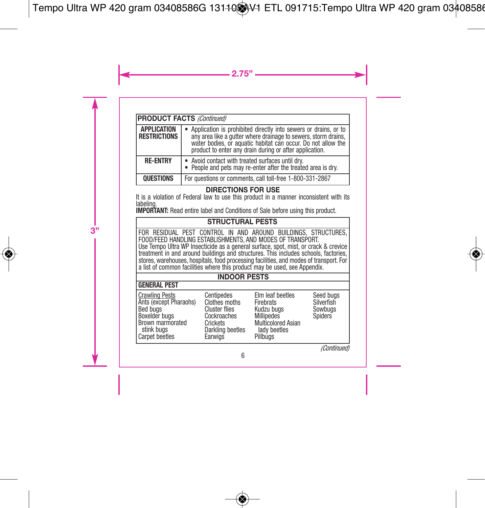| <b>PRODUCT FACTS (Continued)</b>          |                                                                                                                                                                                                                                                                |  |
|-------------------------------------------|----------------------------------------------------------------------------------------------------------------------------------------------------------------------------------------------------------------------------------------------------------------|--|
| <b>APPLICATION</b><br><b>RESTRICTIONS</b> | • Application is prohibited directly into sewers or drains, or to<br>any area like a gutter where drainage to sewers, storm drains.<br>water bodies, or aquatic habitat can occur. Do not allow the<br>product to enter any drain during or after application. |  |
| <b>RF-FNTRY</b>                           | • Avoid contact with treated surfaces until dry.<br>• People and pets may re-enter after the treated area is dry.                                                                                                                                              |  |
| <b>QUESTIONS</b>                          | For questions or comments, call toll-free 1-800-331-2867                                                                                                                                                                                                       |  |

#### **DIRECTIONS FOR USE**

It is a violation of Federal law to use this product in a manner inconsistent with its labeling.

**IMPORTANT:** Read entire label and Conditions of Sale before using this product.

#### **STRUCTURAL PESTS**

CONTROL IN AND AROUND BUILDINGS, STRUCTURES FOOD/FEED HANDLING ESTABLISHMENTS, AND MODES OF TRANSPORT. Use Tempo Ultra WP Insecticide as a general surface, spot, mist, or crack & crevice treatment in and around buildings and structures. This includes schools, factories, stores, warehouses, hospitals, food processing facilities, and modes of transport. For<br>a list of common facilities where this product may be used, see Appendix.

#### **INDOOR PESTS**

| I GENERAL PEST                                                                                                                   |                                                                                                               |                                                                                                                           |                                               |
|----------------------------------------------------------------------------------------------------------------------------------|---------------------------------------------------------------------------------------------------------------|---------------------------------------------------------------------------------------------------------------------------|-----------------------------------------------|
| <b>Crawling Pests</b><br>Ants (except Pharaohs)<br>Bed buas<br>Boxelder bugs<br>Brown marmorated<br>stink buas<br>Carpet beetles | Centipedes<br>Clothes moths<br><b>Cluster flies</b><br>Cockroaches<br>Crickets<br>Darkling beetles<br>Earwigs | Elm leaf beetles<br>Firebrats<br>Kudzu buas<br><b>Millipedes</b><br><b>Multicolored Asian</b><br>lady beetles<br>Pillbuas | Seed buas<br>Silverfish<br>Sowbuas<br>Spiders |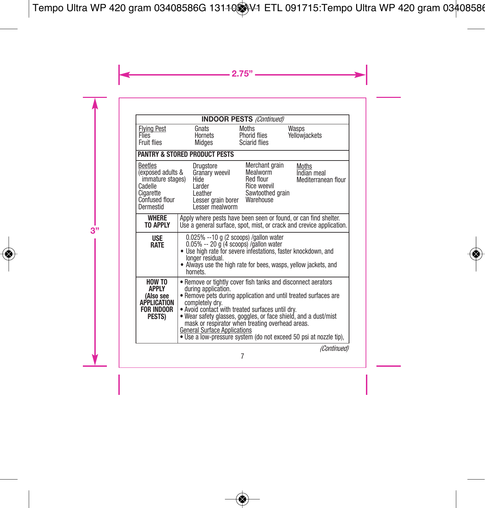| <b>INDOOR PESTS (Continued)</b>                                                                                |                                                                                                                                                                                                                                                                                                                                                                                                                                                                  |                                                                            |                                                                      |
|----------------------------------------------------------------------------------------------------------------|------------------------------------------------------------------------------------------------------------------------------------------------------------------------------------------------------------------------------------------------------------------------------------------------------------------------------------------------------------------------------------------------------------------------------------------------------------------|----------------------------------------------------------------------------|----------------------------------------------------------------------|
| <b>Flying Pest</b><br><b>Flies</b><br>Fruit flies                                                              | Gnats<br>Hornets<br>Midges                                                                                                                                                                                                                                                                                                                                                                                                                                       | Moths<br>Phorid flies<br>Sciarid flies                                     | Wasps<br>Yellowjackets                                               |
|                                                                                                                | <b>PANTRY &amp; STORED PRODUCT PESTS</b>                                                                                                                                                                                                                                                                                                                                                                                                                         |                                                                            |                                                                      |
| <b>Beetles</b><br>(exposed adults &<br>immature stages)<br>Cadelle<br>Cigarette<br>Confused flour<br>Dermestid | Drugstore<br>Granary weevil<br>Hide<br>Larder<br>Leather<br>Lesser grain borer Warehouse<br>Lesser mealworm                                                                                                                                                                                                                                                                                                                                                      | Merchant grain<br>Mealworm<br>Red flour<br>Rice weevil<br>Sawtoothed grain | Moths<br>Indian meal<br>Mediterranean flour                          |
| WHERE<br>TO APPIY                                                                                              | Apply where pests have been seen or found, or can find shelter.                                                                                                                                                                                                                                                                                                                                                                                                  |                                                                            | Use a general surface, spot, mist, or crack and crevice application. |
| <b>USE</b><br><b>RATE</b>                                                                                      | 0.025% --10 g (2 scoops) /gallon water<br>$0.05\% - 20$ g (4 scoops) /gallon water<br>. Use high rate for severe infestations, faster knockdown, and<br>longer residual.<br>• Always use the high rate for bees, wasps, yellow jackets, and<br>hornéts                                                                                                                                                                                                           |                                                                            |                                                                      |
| HOW TO<br><b>APPIY</b><br>(Also see<br><b>APPLICATION</b><br><b>FOR INDOOR</b><br><b>PESTS)</b>                | • Remove or tightly cover fish tanks and disconnect aerators<br>during application.<br>• Remove pets during application and until treated surfaces are<br>completely drv.<br>. Avoid contact with treated surfaces until dry.<br>. Wear safety glasses, goggles, or face shield, and a dust/mist<br>mask or respirator when treating overhead areas.<br><b>General Surface Applications</b><br>. Use a low-pressure system (do not exceed 50 psi at nozzle tip), |                                                                            |                                                                      |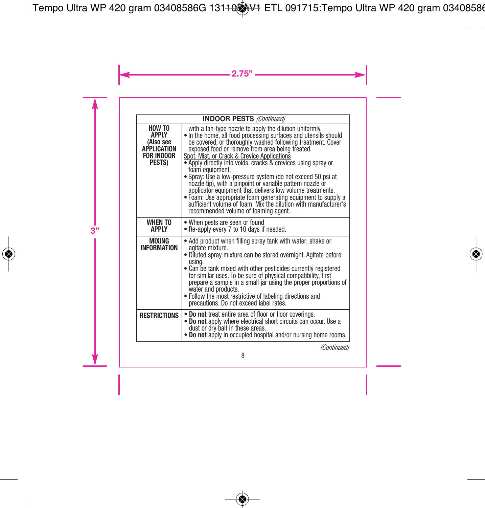| <b>INDOOR PESTS (Continued)</b>                                                           |                                                                                                                                                                                                                                                                                                                                                                                                                                                                                                                                                                                                                                                                                                                                                       |  |
|-------------------------------------------------------------------------------------------|-------------------------------------------------------------------------------------------------------------------------------------------------------------------------------------------------------------------------------------------------------------------------------------------------------------------------------------------------------------------------------------------------------------------------------------------------------------------------------------------------------------------------------------------------------------------------------------------------------------------------------------------------------------------------------------------------------------------------------------------------------|--|
| <b>HOW TO</b><br>APPI Y<br>(Also see<br><b>APPLICATION</b><br><b>FOR INDOOR</b><br>PESTS) | with a fan-type nozzle to apply the dilution uniformly.<br>. In the home, all food processing surfaces and utensils should<br>be covered, or thoroughly washed following treatment. Cover<br>exposed food or remove from area being treated.<br>Spot, Mist, or Crack & Crevice Applications<br>• Apply directly into voids, cracks & crevices using spray or<br>foam equipment.<br>• Spray: Use a low-pressure system (do not exceed 50 psi at<br>nozzle tip), with a pinpoint or variable pattern nozzle or<br>applicator equipment that delivers low volume treatments.<br>. Foam: Use appropriate foam generating equipment to supply a<br>sufficient volume of foam. Mix the dilution with manufacturer's<br>recommended volume of foaming agent. |  |
| <b>WHEN TO</b><br><b>APPIY</b>                                                            | • When pests are seen or found<br>• Re-apply every 7 to 10 days if needed.                                                                                                                                                                                                                                                                                                                                                                                                                                                                                                                                                                                                                                                                            |  |
| MIXING<br><b>INFORMATION</b>                                                              | • Add product when filling spray tank with water; shake or<br>agitate mixture.<br>. Diluted spray mixture can be stored overnight. Agitate before<br>usina.<br>• Can be tank mixed with other pesticides currently registered<br>for similar uses. To be sure of physical compatibility, first<br>prepare a sample in a small jar using the proper proportions of<br>water and products.<br>. Follow the most restrictive of labeling directions and<br>precautions. Do not exceed label rates.                                                                                                                                                                                                                                                       |  |
| <b>RESTRICTIONS</b>                                                                       | . Do not treat entire area of floor or floor coverings.<br>. Do not apply where electrical short circuits can occur. Use a<br>dust or dry bait in these areas.<br>. Do not apply in occupied hospital and/or nursing home rooms.                                                                                                                                                                                                                                                                                                                                                                                                                                                                                                                      |  |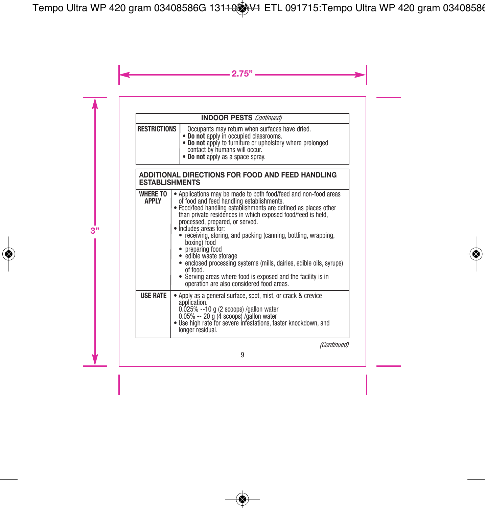| <b>INDOOR PESTS Continued)</b> |                                                                                                                                                                                                                            |  |
|--------------------------------|----------------------------------------------------------------------------------------------------------------------------------------------------------------------------------------------------------------------------|--|
| <b>RESTRICTIONS</b>            | Occupants may return when surfaces have dried.<br>• Do not apply in occupied classrooms.<br>• Do not apply to furniture or upholstery where prolonged<br>contact by humans will occur.<br>• Do not apply as a space spray. |  |

| ADDITIONAL DIRECTIONS FOR FOOD AND FEED HANDLING<br><b>ESTABLISHMENTS</b> |                                                                                                                                                                                                                                                                                                                                                                                                                                                                                                                                                                                                                                           |  |
|---------------------------------------------------------------------------|-------------------------------------------------------------------------------------------------------------------------------------------------------------------------------------------------------------------------------------------------------------------------------------------------------------------------------------------------------------------------------------------------------------------------------------------------------------------------------------------------------------------------------------------------------------------------------------------------------------------------------------------|--|
| <b>WHERE TO</b><br><b>APPIY</b>                                           | Applications may be made to both food/feed and non-food areas<br>of food and feed handling establishments.<br>. Food/feed handling establishments are defined as places other<br>than private residences in which exposed food/feed is held,<br>processed, prepared, or served.<br>• Includes areas for:<br>• receiving, storing, and packing (canning, bottling, wrapping,<br>boxing) food<br>• preparing food<br>· edible waste storage<br>• enclosed processing systems (mills, dairies, edible oils, syrups)<br>of food.<br>• Serving areas where food is exposed and the facility is in<br>operation are also considered food areas. |  |
| <b>USE RATE</b>                                                           | Apply as a general surface, spot, mist, or crack & crevice<br>application.<br>0.025% --10 g (2 scoops) /gallon water<br>$0.05\% - 20$ g (4 scoops) /gallon water<br>. Use high rate for severe infestations, faster knockdown, and<br>longer residual.                                                                                                                                                                                                                                                                                                                                                                                    |  |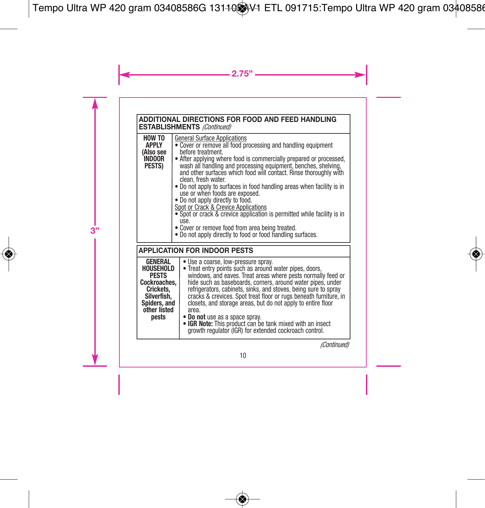**ADDITIONAL DIRECTIONS FOR FOOD AND FEED HANDLING ESTABLISHMENTS** *(Continued)*

| HOW TO<br><b>APPLY</b><br>(Also see<br><b>INDOOR</b><br>PESTS) | <b>General Surface Applications</b><br>• Cover or remove all food processing and handling equipment<br>before treatment.<br>• After applying where food is commercially prepared or processed,<br>wash all handling and processing equipment, benches, shelving,<br>and other surfaces which food will contact. Rinse thoroughly with<br>clean, fresh water.<br>• Do not apply to surfaces in food handling areas when facility is in<br>use or when foods are exposed.<br>• Do not apply directly to food.<br>Spot or Crack & Crevice Applications<br>• Spot or crack & crevice application is permitted while facility is in<br>use.<br>• Cover or remove food from area being treated.<br>. Do not apply directly to food or food handling surfaces. |
|----------------------------------------------------------------|---------------------------------------------------------------------------------------------------------------------------------------------------------------------------------------------------------------------------------------------------------------------------------------------------------------------------------------------------------------------------------------------------------------------------------------------------------------------------------------------------------------------------------------------------------------------------------------------------------------------------------------------------------------------------------------------------------------------------------------------------------|
|----------------------------------------------------------------|---------------------------------------------------------------------------------------------------------------------------------------------------------------------------------------------------------------------------------------------------------------------------------------------------------------------------------------------------------------------------------------------------------------------------------------------------------------------------------------------------------------------------------------------------------------------------------------------------------------------------------------------------------------------------------------------------------------------------------------------------------|

| <b>APPLICATION FOR INDOOR PESTS</b>                                                                                              |                                                                                                                                                                                                                                                                                                                                                                                                                                                                                                                                                                                                         |  |
|----------------------------------------------------------------------------------------------------------------------------------|---------------------------------------------------------------------------------------------------------------------------------------------------------------------------------------------------------------------------------------------------------------------------------------------------------------------------------------------------------------------------------------------------------------------------------------------------------------------------------------------------------------------------------------------------------------------------------------------------------|--|
| <b>GENERAL</b><br>HOUSEHOLD<br><b>PESTS</b><br>Cockroaches.<br>Crickets.<br>Silverfish.<br>Spiders, and<br>other listed<br>pests | • Use a coarse, low-pressure spray.<br>• Treat entry points such as around water pipes, doors,<br>windows, and eaves. Treat areas where pests normally feed or<br>hide such as baseboards, corners, around water pipes, under<br>refrigerators, cabinets, sinks, and stoves, being sure to spray<br>cracks & crevices. Spot treat floor or rugs beneath furniture, in<br>closets, and storage areas, but do not apply to entire floor<br>area.<br>• Do not use as a space spray.<br>. IGR Note: This product can be tank mixed with an insect<br>growth regulator (IGR) for extended cockroach control. |  |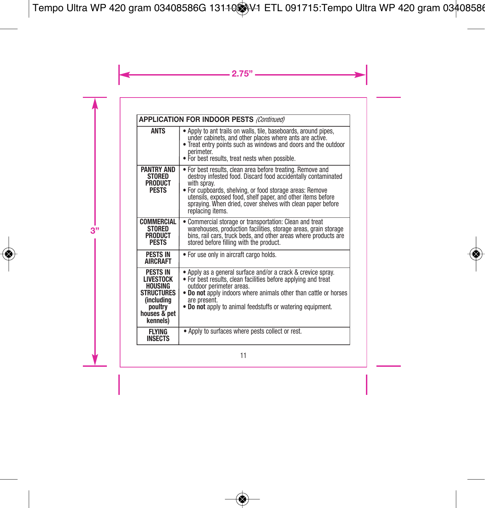| <b>APPLICATION FOR INDOOR PESTS (Continued)</b>                                                                                 |                                                                                                                                                                                                                                                                                                                                                          |  |
|---------------------------------------------------------------------------------------------------------------------------------|----------------------------------------------------------------------------------------------------------------------------------------------------------------------------------------------------------------------------------------------------------------------------------------------------------------------------------------------------------|--|
| <b>ANTS</b>                                                                                                                     | • Apply to ant trails on walls, tile, baseboards, around pipes,<br>under cabinets, and other places where ants are active.<br>. Treat entry points such as windows and doors and the outdoor<br>perimeter.<br>. For best results, treat nests when possible.                                                                                             |  |
| <b>PANTRY AND</b><br><b>STORED</b><br><b>PRODUCT</b><br><b>PFSTS</b>                                                            | . For best results, clean area before treating. Remove and<br>destroy infested food. Discard food accidentally contaminated<br>with spray.<br>. For cupboards, shelving, or food storage areas: Remove<br>utensils, exposed food, shelf paper, and other items before<br>spraying. When dried, cover shelves with clean paper before<br>replacing items. |  |
| COMMERCIAL<br><b>STORED</b><br><b>PRODUCT</b><br><b>PFSTS</b>                                                                   | Commercial storage or transportation: Clean and treat<br>warehouses, production facilities, storage areas, grain storage<br>bins, rail cars, truck beds, and other areas where products are<br>stored before filling with the product.                                                                                                                   |  |
| <b>PESTS IN</b><br><b>AIRCRAFT</b>                                                                                              | • For use only in aircraft cargo holds.                                                                                                                                                                                                                                                                                                                  |  |
| <b>PESTS IN</b><br><b>LIVESTOCK</b><br><b>HOUSING</b><br><b>STRUCTURES</b><br>(including<br>poultry<br>houses & pet<br>kennels) | • Apply as a general surface and/or a crack & crevice spray.<br>. For best results, clean facilities before applying and treat<br>outdoor perimeter areas.<br>. Do not apply indoors where animals other than cattle or horses<br>are present.<br>. Do not apply to animal feedstuffs or watering equipment.                                             |  |
| <b>FI YING</b><br><b>INSECTS</b>                                                                                                | • Apply to surfaces where pests collect or rest.                                                                                                                                                                                                                                                                                                         |  |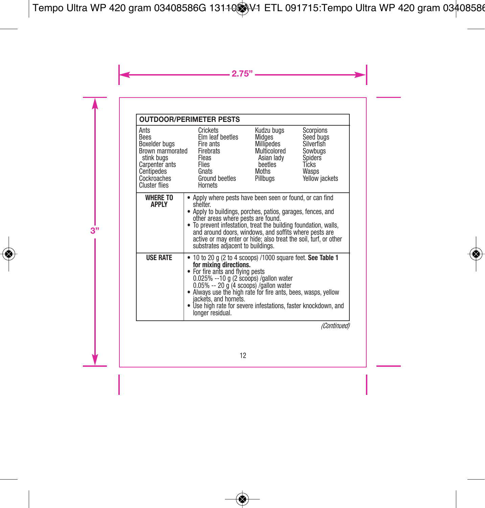|                                                                                                                                        | <b>OUTDOOR/PERIMETER PESTS</b>                                                                                                                                                                                                                                                                                                                                                                                |  |                |
|----------------------------------------------------------------------------------------------------------------------------------------|---------------------------------------------------------------------------------------------------------------------------------------------------------------------------------------------------------------------------------------------------------------------------------------------------------------------------------------------------------------------------------------------------------------|--|----------------|
| Ants<br><b>Bees</b><br>Boxelder bugs<br>Brown marmorated<br>stink buas<br>Carpenter ants<br>Centipedes<br>Cockroaches<br>Cluster flies | Kudzu bugs<br>Scorpions<br>Crickets<br>Seed bugs<br>Elm leaf beetles<br>Midges<br>Millipedes<br>Silverfish<br>Fire ants<br>Multicolored<br>Firebrats<br>Sowbugs<br>Asian lady<br>Spiders<br>Fleas<br>Tícks<br>Flies<br>beetles<br>Gnats<br>Moths<br>Wasps<br>Ground beetles<br>Pillbugs<br>Hornets                                                                                                            |  | Yellow jackets |
| <b>WHERE TO</b><br><b>APPIY</b>                                                                                                        | Apply where pests have been seen or found, or can find<br>shelter.<br>• Apply to buildings, porches, patios, garages, fences, and<br>other areas where pests are found.<br>• To prevent infestation, treat the building foundation, walls,<br>and around doors, windows, and soffits where pests are<br>active or may enter or hide; also treat the soil, turf, or other<br>substrates adjacent to buildings. |  |                |
| <b>USE RATE</b>                                                                                                                        | 10 to 20 g (2 to 4 scoops) /1000 square feet. See Table 1<br>for mixing directions.<br>• For fire ants and flying pests<br>$0.025\% -10$ g (2 scoops) /gallon water<br>$0.05\% - 20$ g (4 scoops) /gallon water<br>• Always use the high rate for fire ants, bees, wasps, yellow<br>iackets, and hornets.<br>• Use high rate for severe infestations, faster knockdown, and<br>longer residual.<br>$\sim$     |  |                |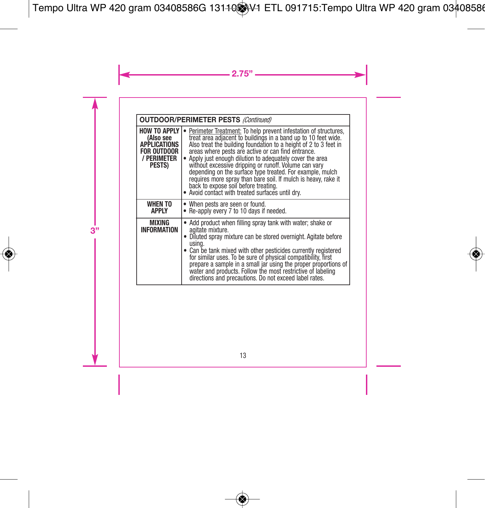**OUTDOOR/PERIMETER PESTS** *(Continued)*

| <b>HOW TO APPLY</b><br>(Also see<br><b>APPLICATIONS</b><br><b>FOR OUTDOOR</b><br>/ PERIMETER<br>PESTS) | Perimeter Treatment: To help prevent infestation of structures,<br>treat area adjacent to buildings in a band up to 10 feet wide.<br>Also treat the building foundation to a height of 2 to 3 feet in<br>areas where pests are active or can find entrance.<br>Apply just enough dilution to adequately cover the area<br>without excessive dripping or runoff. Volume can varv<br>depending on the surface type treated. For example, mulch<br>requires more spray than bare soil. If mulch is heavy, rake it<br>back to expose soil before treating.<br>Avoid contact with treated surfaces until drv. |  |
|--------------------------------------------------------------------------------------------------------|----------------------------------------------------------------------------------------------------------------------------------------------------------------------------------------------------------------------------------------------------------------------------------------------------------------------------------------------------------------------------------------------------------------------------------------------------------------------------------------------------------------------------------------------------------------------------------------------------------|--|
| <b>WHEN TO</b><br>APPLY                                                                                | • When pests are seen or found.<br>. Re-apply every 7 to 10 days if needed.                                                                                                                                                                                                                                                                                                                                                                                                                                                                                                                              |  |
| MIXING<br><b>INFORMATION</b>                                                                           | • Add product when filling spray tank with water; shake or<br>agitate mixture.<br>Diluted spray mixture can be stored overnight. Agitate before<br>usina.<br>Can be tank mixed with other pesticides currently registered<br>for similar uses. To be sure of physical compatibility, first<br>prepare a sample in a small jar using the proper proportions of<br>water and products. Follow the most restrictive of labeling<br>directions and precautions. Do not exceed label rates.                                                                                                                   |  |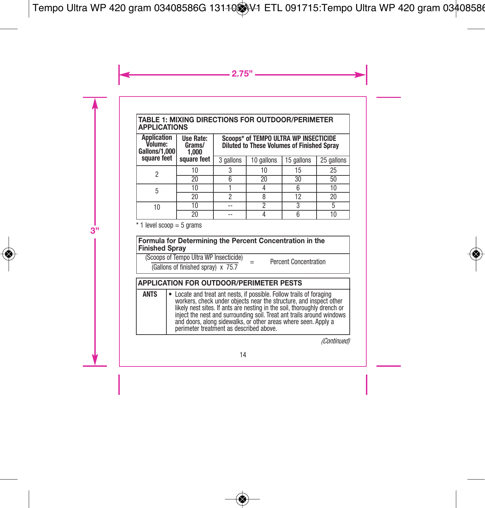#### **TABLE 1: MIXING DIRECTIONS FOR OUTDOOR/PERIMETER APPLICATIONS**

| <b>Application</b><br>Volume:<br>Gallons/1.000 | Use Rate:<br>Grams/<br>1.000 | Scoops* of TEMPO ULTRA WP INSECTICIDE<br><b>Diluted to These Volumes of Finished Sprav</b> |            |            |            |
|------------------------------------------------|------------------------------|--------------------------------------------------------------------------------------------|------------|------------|------------|
| square feet                                    | square feet                  | 3 gallons                                                                                  | 10 gallons | 15 gallons | 25 gallons |
| 2                                              | 10                           |                                                                                            | 10         | 15         | 25         |
|                                                | 20                           |                                                                                            | 20         | 30         | 50         |
| 5                                              | 10                           |                                                                                            |            | 6          | 10         |
|                                                | 20                           | ŋ                                                                                          |            | 12         | 20         |
| 10                                             | 10                           |                                                                                            | ŋ          | 3          |            |
|                                                | 20                           | --                                                                                         |            |            |            |

 $*$  1 level scoop = 5 grams

#### **Formula for Determining the Percent Concentration in the Finished Spray**

(Scoops of Tempo Ultra WP Insecticide)

 $\frac{\text{Couples on empty out a we insecure}}{\text{(Gallons of finished spray)} \times 75.7}$  Percent Concentration

|             | <b>APPLICATION FOR OUTDOOR/PERIMETER PESTS</b>                                                                                                                                                                                                                                                                                                                                                               |
|-------------|--------------------------------------------------------------------------------------------------------------------------------------------------------------------------------------------------------------------------------------------------------------------------------------------------------------------------------------------------------------------------------------------------------------|
| <b>ANTS</b> | • Locate and treat ant nests, if possible. Follow trails of foraging<br>workers, check under objects near the structure, and inspect other<br>likely nest sites. If ants are nesting in the soil, thoroughly drench or<br>inject the nest and surrounding soil. Treat ant trails around windows<br>and doors, along sidewalks, or other areas where seen. Apply a<br>perimeter treatment as described above. |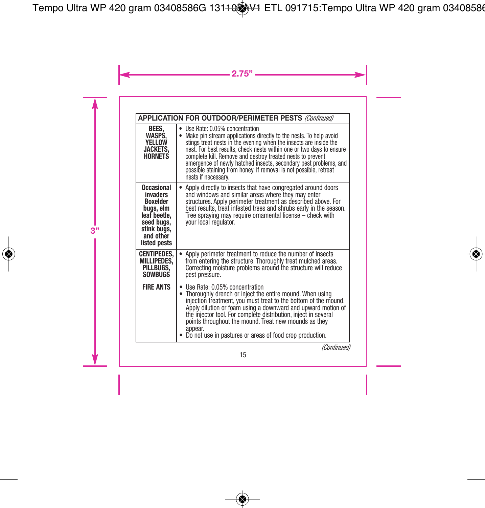|                                                                                                                                         | APPLICATION FOR OUTDOOR/PERIMETER PESTS (Continued)                                                                                                                                                                                                                                                                                                                                                                                                                                             |  |  |
|-----------------------------------------------------------------------------------------------------------------------------------------|-------------------------------------------------------------------------------------------------------------------------------------------------------------------------------------------------------------------------------------------------------------------------------------------------------------------------------------------------------------------------------------------------------------------------------------------------------------------------------------------------|--|--|
| BEES.<br>WASPS.<br><b>YELLOW</b><br><b>JACKETS.</b><br><b>HORNETS</b>                                                                   | Use Rate: 0.05% concentration<br>٠<br>Make pin stream applications directly to the nests. To help avoid<br>$\bullet$<br>stings treat nests in the evening when the insects are inside the<br>nest. For best results, check nests within one or two days to ensure<br>complete kill. Remove and destroy treated nests to prevent<br>emergence of newly hatched insects, secondary pest problems, and<br>possible staining from honey. If removal is not possible, retreat<br>nests if necessary. |  |  |
| <b>Occasional</b><br>invaders<br><b>Boxelder</b><br>buas, elm<br>leaf beetle,<br>seed bugs,<br>stink bugs,<br>and other<br>listed pests | Apply directly to insects that have congregated around doors<br>٠<br>and windows and similar areas where they may enter<br>structures. Apply perimeter treatment as described above. For<br>best results, treat infested trees and shrubs early in the season.<br>Tree spraying may require ornamental license - check with<br>your local regulator.                                                                                                                                            |  |  |
| <b>CENTIPEDES,</b><br><b>MILLIPEDES.</b><br>PILLBUGS.<br>SOWBUGS                                                                        | Apply perimeter treatment to reduce the number of insects<br>$\bullet$<br>from entering the structure. Thoroughly treat mulched areas.<br>Correcting moisture problems around the structure will reduce<br>pest pressure.                                                                                                                                                                                                                                                                       |  |  |
| <b>FIRE ANTS</b>                                                                                                                        | • Use Rate: 0.05% concentration<br>Thoroughly drench or inject the entire mound. When using<br>٠<br>injection treatment, you must treat to the bottom of the mound.<br>Apply dilution or foam using a downward and upward motion of<br>the injector tool. For complete distribution, inject in several<br>points throughout the mound. Treat new mounds as they<br>appear.<br>Do not use in pastures or areas of food crop production.                                                          |  |  |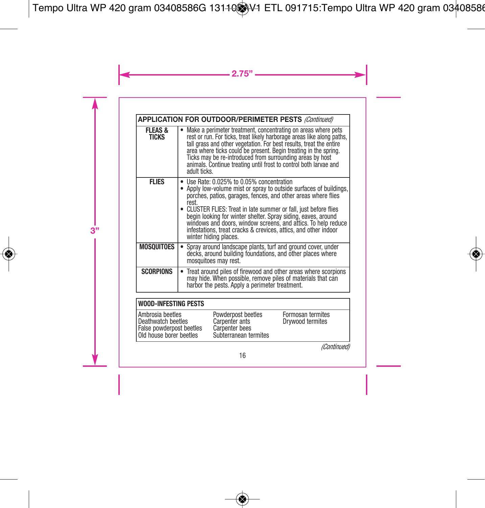|                             | <b>APPLICATION FOR OUTDOOR/PERIMETER PESTS (Continued)</b>                                                                                                                                                                                                                                                                                                                                                                                                                                |
|-----------------------------|-------------------------------------------------------------------------------------------------------------------------------------------------------------------------------------------------------------------------------------------------------------------------------------------------------------------------------------------------------------------------------------------------------------------------------------------------------------------------------------------|
| <b>FLEAS &amp;</b><br>TICKS | Make a perimeter treatment, concentrating on areas where pets<br>rest or run. For ticks, treat likely harborage areas like along paths,<br>tall grass and other vegetation. For best results, treat the entire<br>area where ticks could be present. Begin treating in the spring.<br>Ticks may be re-introduced from surrounding areas by host<br>animals. Continue treating until frost to control both larvae and<br>adult ticks.                                                      |
| <b>FLIES</b>                | Use Rate: 0.025% to 0.05% concentration<br>• Apply low-volume mist or spray to outside surfaces of buildings,<br>porches, patios, garages, fences, and other areas where flies<br>rest.<br>• CLUSTER FLIES: Treat in late summer or fall, just before flies<br>begin looking for winter shelter. Spray siding, eaves, around<br>windows and doors, window screens, and attics. To help reduce<br>infestations, treat cracks & crevices, attics, and other indoor<br>winter hiding places. |
| MOSQUITOES                  | Spray around landscape plants, turf and ground cover, under<br>decks, around building foundations, and other places where<br>mosquitoes may rest.                                                                                                                                                                                                                                                                                                                                         |
| <b>SCORPIONS</b>            | Treat around piles of firewood and other areas where scorpions<br>may hide. When possible, remove piles of materials that can<br>harbor the pests. Apply a perimeter treatment.                                                                                                                                                                                                                                                                                                           |

### **WOOD-INFESTING PESTS**

| Old house borer beetles<br>Subterranean termites | Ambrosia beetles<br>Deathwatch beetles<br>False powderpost beetles | Powderpost beetles<br>Carpenter ants<br>Carpenter bees | Formosan termites<br>Drywood termites |  |
|--------------------------------------------------|--------------------------------------------------------------------|--------------------------------------------------------|---------------------------------------|--|
|--------------------------------------------------|--------------------------------------------------------------------|--------------------------------------------------------|---------------------------------------|--|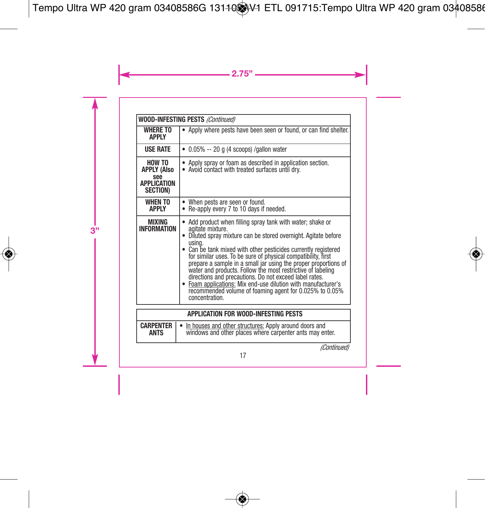| WOOD-INFESTING PESTS (Continued)                                             |                                                                                                                                                                                                                                                                                                                                                                                                                                                                                                                                                                                                                                                      |  |
|------------------------------------------------------------------------------|------------------------------------------------------------------------------------------------------------------------------------------------------------------------------------------------------------------------------------------------------------------------------------------------------------------------------------------------------------------------------------------------------------------------------------------------------------------------------------------------------------------------------------------------------------------------------------------------------------------------------------------------------|--|
| <b>WHERE TO</b><br>APPLY                                                     | Apply where pests have been seen or found, or can find shelter.                                                                                                                                                                                                                                                                                                                                                                                                                                                                                                                                                                                      |  |
| <b>USE RATE</b>                                                              | $\bullet$ 0.05% -- 20 g (4 scoops) /gallon water                                                                                                                                                                                                                                                                                                                                                                                                                                                                                                                                                                                                     |  |
| HOW TO<br><b>APPLY (Also</b><br>see<br><b>APPLICATION</b><br><b>SECTION)</b> | Apply spray or foam as described in application section.<br>. Avoid contact with treated surfaces until dry.                                                                                                                                                                                                                                                                                                                                                                                                                                                                                                                                         |  |
| <b>WHEN TO</b><br><b>APPLY</b>                                               | When pests are seen or found.<br>٠<br>Re-apply every 7 to 10 days if needed.                                                                                                                                                                                                                                                                                                                                                                                                                                                                                                                                                                         |  |
| MIXING<br><b>INFORMATION</b>                                                 | Add product when filling spray tank with water; shake or<br>agitate mixture.<br>Diluted spray mixture can be stored overnight. Agitate before<br>٠<br>usina.<br>• Can be tank mixed with other pesticides currently registered<br>for similar uses. To be sure of physical compatibility, first<br>prepare a sample in a small jar using the proper proportions of<br>water and products. Follow the most restrictive of labeling<br>directions and precautions. Do not exceed label rates.<br>Foam applications: Mix end-use dilution with manufacturer's<br>$\bullet$<br>recommended volume of foaming agent for 0.025% to 0.05%<br>concentration. |  |
| APPI ICATION FOR WOOD-INFESTING PESTS                                        |                                                                                                                                                                                                                                                                                                                                                                                                                                                                                                                                                                                                                                                      |  |

|             | APPLICATION FOR WOOD-INFESTING PESTS                                                                                                        |
|-------------|---------------------------------------------------------------------------------------------------------------------------------------------|
| <b>ANTS</b> | <b>CARPENTER</b> $\cdot$ In houses and other structures: Apply around doors and<br>windows and other places where carpenter ants may enter. |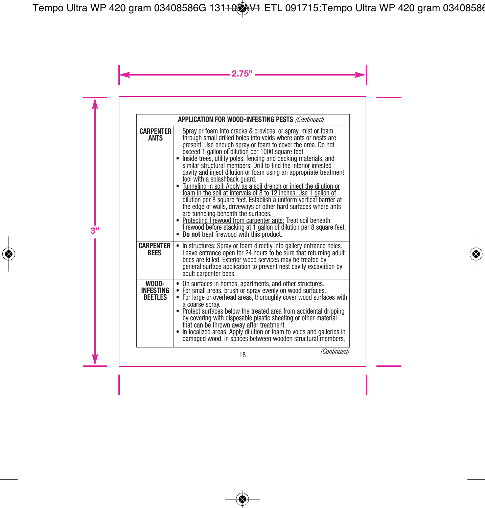|                                      | APPLICATION FOR WOOD-INFESTING PESTS (Continued)                                                                                                                                                                                                                                                                                                                                                                                                                                                                                                                                                                                                                                                                                                                                                                                                                                                                                                                                                                  |
|--------------------------------------|-------------------------------------------------------------------------------------------------------------------------------------------------------------------------------------------------------------------------------------------------------------------------------------------------------------------------------------------------------------------------------------------------------------------------------------------------------------------------------------------------------------------------------------------------------------------------------------------------------------------------------------------------------------------------------------------------------------------------------------------------------------------------------------------------------------------------------------------------------------------------------------------------------------------------------------------------------------------------------------------------------------------|
| <b>CARPENTER</b><br><b>ANTS</b>      | Spray or foam into cracks & crevices, or spray, mist or foam<br>through small drilled holes into voids where ants or nests are<br>present. Use enough spray or foam to cover the area. Do not<br>exceed 1 gallon of dilution per 1000 square feet.<br>Inside trees, utility poles, fencing and decking materials, and<br>similar structural members: Drill to find the interior infested<br>cavity and inject dilution or foam using an appropriate treatment<br>tool with a splashback quard.<br>• Tunneling in soil: Apply as a soil drench or inject the dilution or<br>foam in the soil at intervals of 8 to 12 inches. Use 1 gallon of<br>dilution per 8 square feet. Establish a uniform vertical barrier at<br>the edge of walls, driveways or other hard surfaces where ants<br>are tunneling beneath the surfaces.<br>• Protecting firewood from carpenter ants: Treat soil beneath<br>firewood before stacking at 1 gallon of dilution per 8 square feet.<br>• Do not treat firewood with this product. |
| <b>CARPENTER</b><br><b>RFFS</b>      | In structures: Spray or foam directly into gallery entrance holes.<br>٠<br>Leave entrance open for 24 hours to be sure that returning adult<br>bees are killed. Exterior wood services may be treated by<br>general surface application to prevent nest cavity excavation by<br>adult carpenter bees.                                                                                                                                                                                                                                                                                                                                                                                                                                                                                                                                                                                                                                                                                                             |
| WOOD-<br>INFESTING<br><b>REFTIES</b> | On surfaces in homes, apartments, and other structures.<br>٠<br>For small areas, brush or spray evenly on wood surfaces.<br>$\bullet$<br>For large or overhead areas, thoroughly cover wood surfaces with<br>$\bullet$<br>a coarse spray.<br>• Protect surfaces below the treated area from accidental dripping<br>by covering with disposable plastic sheeting or other material<br>that can be thrown away after treatment.<br>• In localized areas: Apply dilution or foam to voids and galleries in<br>damaged wood, in spaces between wooden structural members,                                                                                                                                                                                                                                                                                                                                                                                                                                             |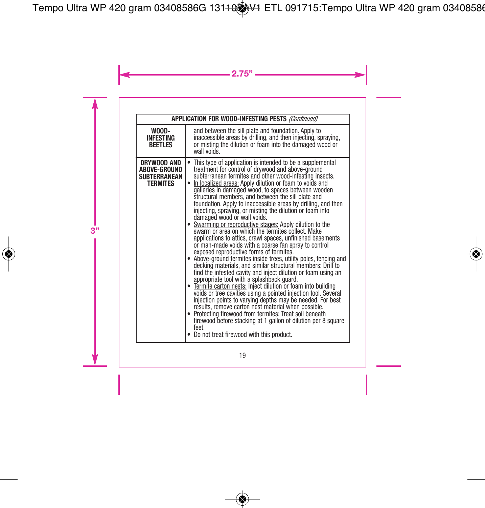|                                                                       | APPLICATION FOR WOOD-INFESTING PESTS (Continued)                                                                                                                                                                                                                                                                                                                                                                                                                                                                                                                                                                                                                                                                                                                                                                                                                                                                                                                                                                                                                                                                                                                                                                                                                                                                                                                                                                                                                                                |
|-----------------------------------------------------------------------|-------------------------------------------------------------------------------------------------------------------------------------------------------------------------------------------------------------------------------------------------------------------------------------------------------------------------------------------------------------------------------------------------------------------------------------------------------------------------------------------------------------------------------------------------------------------------------------------------------------------------------------------------------------------------------------------------------------------------------------------------------------------------------------------------------------------------------------------------------------------------------------------------------------------------------------------------------------------------------------------------------------------------------------------------------------------------------------------------------------------------------------------------------------------------------------------------------------------------------------------------------------------------------------------------------------------------------------------------------------------------------------------------------------------------------------------------------------------------------------------------|
| WOOD-<br><b>INFESTING</b><br><b>BEETLES</b>                           | and between the sill plate and foundation. Apply to<br>inaccessible areas by drilling, and then injecting, spraying,<br>or misting the dilution or foam into the damaged wood or<br>wall voids.                                                                                                                                                                                                                                                                                                                                                                                                                                                                                                                                                                                                                                                                                                                                                                                                                                                                                                                                                                                                                                                                                                                                                                                                                                                                                                 |
| DRYWOOD AND<br>ABOVE-GROUND<br><b>SUBTERRANEAN</b><br><b>TERMITES</b> | This type of application is intended to be a supplemental<br>treatment for control of drywood and above-ground<br>subterranean termites and other wood-infesting insects.<br>In localized areas: Apply dilution or foam to voids and<br>٠<br>galleries in damaged wood, to spaces between wooden<br>structural members, and between the sill plate and<br>foundation. Apply to inaccessible areas by drilling, and then<br>injecting, spraying, or misting the dilution or foam into<br>damaged wood or wall voids.<br>. Swarming or reproductive stages: Apply dilution to the<br>swarm or area on which the termites collect. Make<br>applications to attics, crawl spaces, unfinished basements<br>or man-made voids with a coarse fan spray to control<br>exposed reproductive forms of termites.<br>• Above-ground termites inside trees, utility poles, fencing and<br>decking materials, and similar structural members: Drill to<br>find the infested cavity and inject dilution or foam using an<br>appropriate tool with a splashback quard.<br>· Termite carton nests: Inject dilution or foam into building<br>voids or tree cavities using a pointed injection tool. Several<br>injection points to varying depths may be needed. For best<br>results, remove carton nest material when possible.<br>· Protecting firewood from termites: Treat soil beneath<br>firewood before stacking at 1 gallon of dilution per 8 square<br>feet.<br>Do not treat firewood with this product. |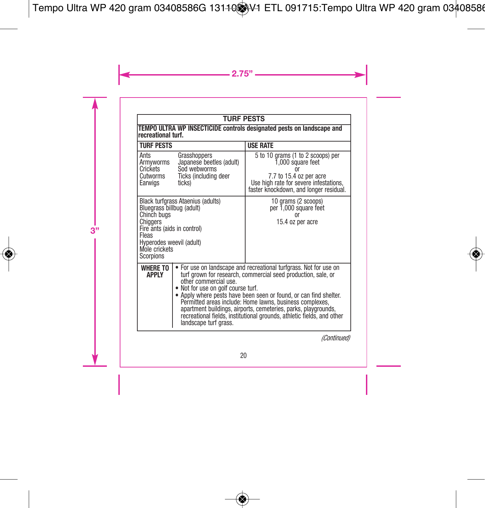### **TURF PESTS**

| TEMPO ULTRA WP INSECTICIDE controls designated pests on landscape and<br>recreational turf.                                                                                                 |                                                                                                                                                                                                                                                                                                                                                                                                                                                                                                       |                                                                                                                                                                       |
|---------------------------------------------------------------------------------------------------------------------------------------------------------------------------------------------|-------------------------------------------------------------------------------------------------------------------------------------------------------------------------------------------------------------------------------------------------------------------------------------------------------------------------------------------------------------------------------------------------------------------------------------------------------------------------------------------------------|-----------------------------------------------------------------------------------------------------------------------------------------------------------------------|
| <b>TURF PESTS</b>                                                                                                                                                                           |                                                                                                                                                                                                                                                                                                                                                                                                                                                                                                       | <b>USE RATE</b>                                                                                                                                                       |
| Grasshoppers<br>Ants<br>Japanese beetles (adult)<br>Armyworms<br>Sod webworms<br>Crickets<br>Cutworms<br>Ticks (including deer<br>ticks)<br>Earwigs                                         |                                                                                                                                                                                                                                                                                                                                                                                                                                                                                                       | 5 to 10 grams (1 to 2 scoops) per<br>1,000 square feet<br>7.7 to 15.4 oz per acre<br>Use high rate for severe infestations,<br>faster knockdown, and longer residual, |
| Black turfgrass Ataenius (adults)<br>Bluegrass billbug (adult)<br>Chinch buas<br>Chiggers<br>Fire ants (aids in control)<br>Fleas<br>Hyperodes weevil (adult)<br>Mole crickets<br>Scorpions |                                                                                                                                                                                                                                                                                                                                                                                                                                                                                                       | 10 grams (2 scoops)<br>per 1,000 square feet<br>nr<br>15.4 oz per acre                                                                                                |
| <b>WHERE TO</b><br><b>APPIY</b>                                                                                                                                                             | For use on landscape and recreational turfgrass. Not for use on<br>turf grown for research, commercial seed production, sale, or<br>other commercial use.<br>• Not for use on golf course turf.<br>• Apply where pests have been seen or found, or can find shelter.<br>Permitted areas include: Home lawns, business complexes,<br>apartment buildings, airports, cemeteries, parks, playgrounds,<br>recreational fields, institutional grounds, athletic fields, and other<br>landscape turf grass. |                                                                                                                                                                       |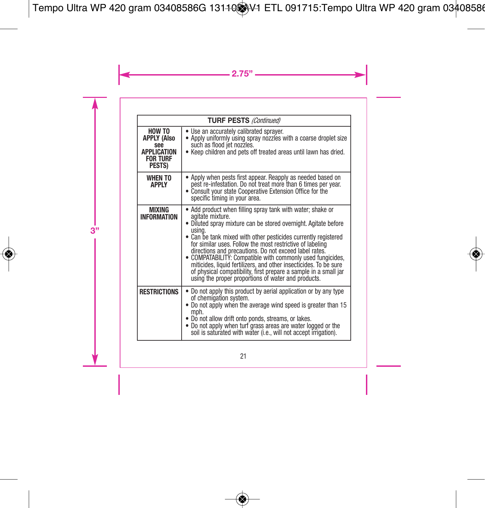| <b>TURF PESTS (Continued)</b>                                                                 |                                                                                                                                                                                                                                                                                                                                                                                                                                                                                                                                                                                                                    |
|-----------------------------------------------------------------------------------------------|--------------------------------------------------------------------------------------------------------------------------------------------------------------------------------------------------------------------------------------------------------------------------------------------------------------------------------------------------------------------------------------------------------------------------------------------------------------------------------------------------------------------------------------------------------------------------------------------------------------------|
| HOW TO<br><b>APPLY (Also</b><br>see<br><b>APPLICATION</b><br><b>FOR TURF</b><br><b>PESTS)</b> | • Use an accurately calibrated sprayer.<br>• Apply uniformly using spray nozzles with a coarse droplet size<br>such as flood jet nozzles.<br>• Keep children and pets off treated areas until lawn has dried.                                                                                                                                                                                                                                                                                                                                                                                                      |
| <b>WHEN TO</b><br><b>APPIY</b>                                                                | • Apply when pests first appear. Reapply as needed based on<br>pest re-infestation. Do not treat more than 6 times per year.<br>• Consult your state Cooperative Extension Office for the<br>specific timing in your area.                                                                                                                                                                                                                                                                                                                                                                                         |
| MIXING<br><b>INFORMATION</b>                                                                  | • Add product when filling spray tank with water; shake or<br>agitate mixture.<br>• Diluted spray mixture can be stored overnight. Agitate before<br>usina.<br>• Can be tank mixed with other pesticides currently registered<br>for similar uses. Follow the most restrictive of labeling<br>directions and precautions. Do not exceed label rates.<br>• COMPATABILITY: Compatible with commonly used fungicides,<br>miticides, liquid fertilizers, and other insecticides. To be sure<br>of physical compatibility, first prepare a sample in a small jar<br>using the proper proportions of water and products. |
| <b>RESTRICTIONS</b>                                                                           | • Do not apply this product by aerial application or by any type<br>of chemigation system.<br>. Do not apply when the average wind speed is greater than 15<br>mph.<br>. Do not allow drift onto ponds, streams, or lakes.<br>• Do not apply when turf grass areas are water logged or the<br>soil is saturated with water (i.e., will not accept irrigation).                                                                                                                                                                                                                                                     |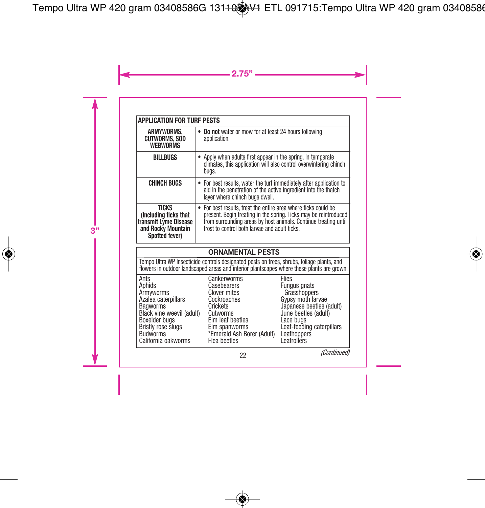| <b>APPLICATION FOR TURF PESTS</b>                                                                      |                                                                                                                                                                                                                                                     |
|--------------------------------------------------------------------------------------------------------|-----------------------------------------------------------------------------------------------------------------------------------------------------------------------------------------------------------------------------------------------------|
| ARMYWORMS,<br><b>CUTWORMS, SOD</b><br><b>WEBWORMS</b>                                                  | Do not water or mow for at least 24 hours following<br>application.                                                                                                                                                                                 |
| <b>BILLBUGS</b>                                                                                        | Apply when adults first appear in the spring. In temperate<br>climates, this application will also control overwintering chinch<br>bugs.                                                                                                            |
| <b>CHINCH BUGS</b>                                                                                     | • For best results, water the turf immediately after application to<br>aid in the penetration of the active ingredient into the thatch<br>layer where chinch bugs dwell.                                                                            |
| <b>TICKS</b><br>(Including ticks that<br>transmit Lyme Disease<br>and Rocky Mountain<br>Spotted fever) | • For best results, treat the entire area where ticks could be<br>bresent. Begin treating in the spring. Ticks may be reintroduced from surrounding areas by host animals. Continue treating until<br>frost to control both larvae and adult ticks. |

#### **ORNAMENTAL PESTS**

Tempo Ultra WP Insecticide controls designated pests on trees, shrubs, foliage plants, and<br>flowers in outdoor landscaped areas and interior plantscapes where these plants are grown

| Ants                      | Cankerworms                | <b>Flies</b>              |
|---------------------------|----------------------------|---------------------------|
| Aphids                    | Casebearers                | <b>Fungus gnats</b>       |
| Armyworms                 | <b>Clover mites</b>        | Grasshoppers              |
| Azalea caterpillars       | Cockroaches                | Gypsy moth larvae         |
| Bagworms                  | Crickets                   | Japanese beetles (adult)  |
| Black vine weevil (adult) | Cutworms                   | June beetles (adult)      |
| Boxelder bugs             | Elm leaf beetles           | Lace bugs                 |
| <b>Bristly rose slugs</b> | Elm spanworms              | Leaf-feeding caterpillars |
| <b>Budworms</b>           | *Emerald Ash Borer (Adult) | Leafhoppers               |
| California oakworms       | Flea beetles               | Leafrollers               |
|                           |                            |                           |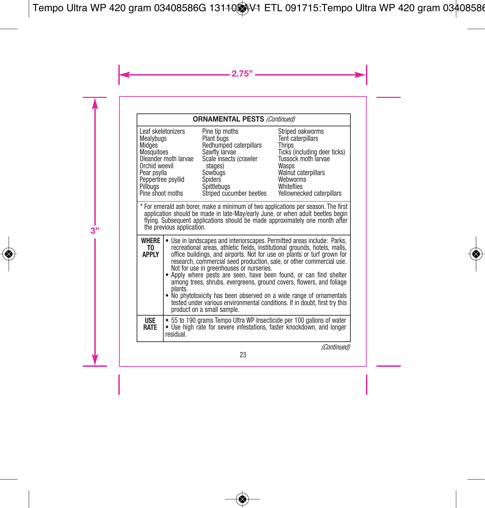#### **ORNAMENTAL PESTS** *(Continued)*

| Leaf skeletonizers<br>Mealybugs<br>Midges<br>Mosquitoes<br>Orchid weevil<br>Pear psylla<br>Peppertree psyllid<br>Pillbugs<br>Pine shoot moths | Oleander moth larvae                                                                                                                                                                                                                                                                                                                                                                                                                                                                                                                                                                                                                                                                                | Pine tip moths<br>Plant bugs<br>Redhumped caterpillars<br>Sawfly larvae<br>Scale insects (crawler<br>stages)<br>Sowbuas<br>Spiders<br>Spittlebugs<br>Striped cucumber beetles                                                                       | Striped oakworms<br>Tent caterpillars<br>Thrips<br>Ticks (including deer ticks)<br>Tussock moth Tarvae<br>Wasps<br><b>Walnut caterpillars</b><br>Webworms<br>Whiteflies<br>Yellownecked caterpillars |
|-----------------------------------------------------------------------------------------------------------------------------------------------|-----------------------------------------------------------------------------------------------------------------------------------------------------------------------------------------------------------------------------------------------------------------------------------------------------------------------------------------------------------------------------------------------------------------------------------------------------------------------------------------------------------------------------------------------------------------------------------------------------------------------------------------------------------------------------------------------------|-----------------------------------------------------------------------------------------------------------------------------------------------------------------------------------------------------------------------------------------------------|------------------------------------------------------------------------------------------------------------------------------------------------------------------------------------------------------|
|                                                                                                                                               | the previous application.                                                                                                                                                                                                                                                                                                                                                                                                                                                                                                                                                                                                                                                                           | * For emerald ash borer, make a minimum of two applications per season. The first<br>application should be made in late-May/early June, or when adult beetles begin<br>flying. Subsequent applications should be made approximately one month after |                                                                                                                                                                                                      |
| WHERE<br>T0<br>APPI Y                                                                                                                         | Use in landscapes and interiorscapes. Permitted areas include: Parks,<br>٠<br>recreational areas, athletic fields, institutional grounds, hotels, malls,<br>office buildings, and airports. Not for use on plants or turf grown for<br>research, commercial seed production, sale, or other commercial use.<br>Not for use in greenhouses or nurseries.<br>• Apply where pests are seen, have been found, or can find shelter<br>among trees, shrubs, evergreens, ground covers, flowers, and foliage<br>plants.<br>. No phytotoxicity has been observed on a wide range of ornamentals<br>tested under various environmental conditions. If in doubt, first try this<br>product on a small sample. |                                                                                                                                                                                                                                                     |                                                                                                                                                                                                      |
| <b>USE</b><br><b>RATE</b>                                                                                                                     | residual.                                                                                                                                                                                                                                                                                                                                                                                                                                                                                                                                                                                                                                                                                           | 55 to 190 grams Tempo Ultra WP Insecticide per 100 gallons of water<br>. Use high rate for severe infestations, faster knockdown, and longer                                                                                                        |                                                                                                                                                                                                      |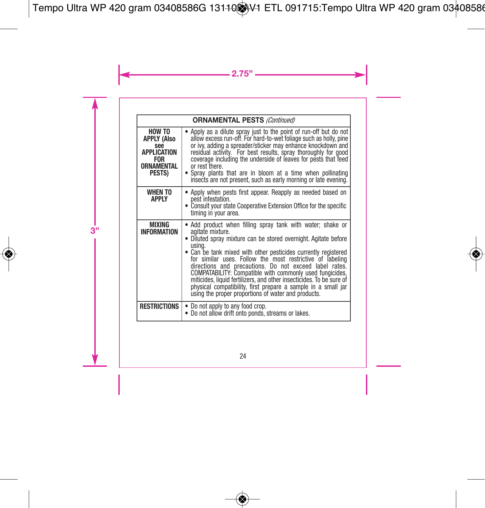| <b>ORNAMENTAL PESTS (Continued)</b>                                                      |                                                                                                                                                                                                                                                                                                                                                                                                                                                                                                                                                                                                                  |
|------------------------------------------------------------------------------------------|------------------------------------------------------------------------------------------------------------------------------------------------------------------------------------------------------------------------------------------------------------------------------------------------------------------------------------------------------------------------------------------------------------------------------------------------------------------------------------------------------------------------------------------------------------------------------------------------------------------|
| HOW TO<br><b>APPLY (Also</b><br>see<br>APPLICATION<br><b>FOR</b><br>ORNAMENTAL<br>PESTS) | Apply as a dilute spray just to the point of run-off but do not<br>allow excess run-off. For hard-to-wet foliage such as holly, pine<br>or ivy, adding a spreader/sticker may enhance knockdown and<br>residual activity. For best results, spray thoroughly for good<br>coverage including the underside of leaves for pests that feed<br>or rest there.<br>• Spray plants that are in bloom at a time when pollinating<br>insects are not present, such as early morning or late evening.                                                                                                                      |
| <b>WHEN TO</b><br><b>APPLY</b>                                                           | • Apply when pests first appear. Reapply as needed based on<br>pest infestation.<br>• Consult your state Cooperative Extension Office for the specific<br>timing in your area.                                                                                                                                                                                                                                                                                                                                                                                                                                   |
| MIXING<br><b>INFORMATION</b>                                                             | • Add product when filling spray tank with water; shake or<br>agitate mixture.<br>• Diluted spray mixture can be stored overnight. Agitate before<br>usina.<br>. Can be tank mixed with other pesticides currently registered<br>for similar uses. Follow the most restrictive of labeling<br>directions and precautions. Do not exceed label rates.<br>COMPATABILITY: Compatible with commonly used fungicides,<br>miticides, liquid fertilizers, and other insecticides. To be sure of<br>physical compatibility, first prepare a sample in a small jar<br>using the proper proportions of water and products. |
| <b>RESTRICTIONS</b>                                                                      | Do not apply to any food crop.<br>Do not allow drift onto ponds, streams or lakes.<br>٠<br>٠                                                                                                                                                                                                                                                                                                                                                                                                                                                                                                                     |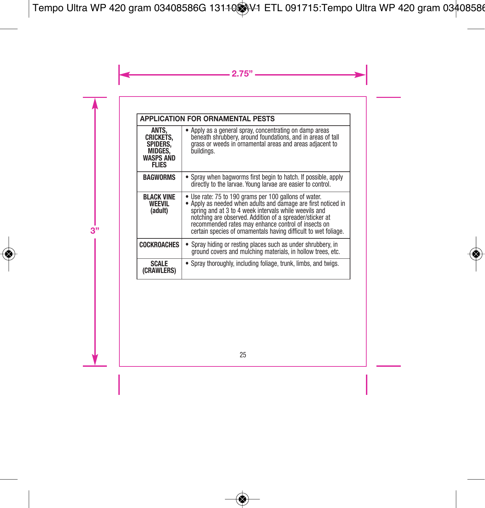| <b>APPLICATION FOR ORNAMENTAL PESTS</b>                                                     |                                                                                                                                                                                                                                                                                                                                                                    |  |
|---------------------------------------------------------------------------------------------|--------------------------------------------------------------------------------------------------------------------------------------------------------------------------------------------------------------------------------------------------------------------------------------------------------------------------------------------------------------------|--|
| ANTS.<br><b>CRICKETS.</b><br><b>SPIDERS.</b><br>MIDGES,<br><b>WASPS AND</b><br><b>FLIES</b> | Apply as a general spray, concentrating on damp areas<br>beneath shrubbery, around foundations, and in areas of tall<br>grass or weeds in ornamental areas and areas adiacent to<br>buildinas.                                                                                                                                                                     |  |
| <b>BAGWORMS</b>                                                                             | • Spray when bagworms first begin to hatch. If possible, apply<br>directly to the larvae. Young larvae are easier to control.                                                                                                                                                                                                                                      |  |
| <b>BLACK VINE</b><br><b>WEEVIL</b><br>(adult)                                               | • Use rate: 75 to 190 grams per 100 gallons of water.<br>• Apply as needed when adults and damage are first noticed in spring and at 3 to 4 week intervals while weevils and<br>notching are observed. Addition of a spreader/sticker at<br>recommended rates may enhance control of insects on<br>certain species of ornamentals having difficult to wet foliage. |  |
| <b>COCKROACHES</b>                                                                          | Spray hiding or resting places such as under shrubbery, in<br>ground covers and mulching materials, in hollow trees, etc.                                                                                                                                                                                                                                          |  |
| <b>SCALE</b><br>(CRAWLERS)                                                                  | • Spray thoroughly, including foliage, trunk, limbs, and twigs.                                                                                                                                                                                                                                                                                                    |  |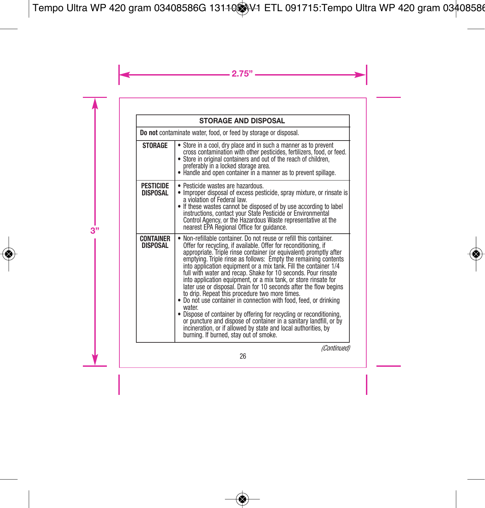| <b>STORAGE AND DISPOSAL</b>                                     |                                                                                                                                                                                                                                                                                                                                                                                                                                                                                                                                                                                                                                                                                                                                                                                                                                                                                                                                                      |
|-----------------------------------------------------------------|------------------------------------------------------------------------------------------------------------------------------------------------------------------------------------------------------------------------------------------------------------------------------------------------------------------------------------------------------------------------------------------------------------------------------------------------------------------------------------------------------------------------------------------------------------------------------------------------------------------------------------------------------------------------------------------------------------------------------------------------------------------------------------------------------------------------------------------------------------------------------------------------------------------------------------------------------|
| Do not contaminate water, food, or feed by storage or disposal. |                                                                                                                                                                                                                                                                                                                                                                                                                                                                                                                                                                                                                                                                                                                                                                                                                                                                                                                                                      |
| <b>STORAGE</b>                                                  | • Store in a cool, dry place and in such a manner as to prevent<br>cross contamination with other pesticides, fertilizers, food, or feed.<br>• Store in original containers and out of the reach of children,<br>preferably in a locked storage area.<br>• Handle and open container in a manner as to prevent spillage.                                                                                                                                                                                                                                                                                                                                                                                                                                                                                                                                                                                                                             |
| <b>PESTICIDE</b><br>DISPOSAL                                    | • Pesticide wastes are hazardous.<br>• Improper disposal of excess pesticide, spray mixture, or rinsate is<br>a violation of Federal law.<br>• If these wastes cannot be disposed of by use according to label<br>instructions, contact your State Pesticide or Environmental<br>Control Agency, or the Hazardous Waste representative at the<br>nearest EPA Regional Office for guidance.                                                                                                                                                                                                                                                                                                                                                                                                                                                                                                                                                           |
| <b>CONTAINER</b><br><b>DISPOSAL</b>                             | • Non-refillable container. Do not reuse or refill this container.<br>Offer for recycling, if available. Offer for reconditioning, if<br>appropriate. Triple rinse container (or equivalent) promptly after<br>emptying. Triple rinse as follows: Empty the remaining contents<br>into application equipment or a mix tank. Fill the container 1/4<br>full with water and recap. Shake for 10 seconds. Pour rinsate<br>into application equipment, or a mix tank, or store rinsate for<br>later use or disposal. Drain for 10 seconds after the flow begins<br>to drip. Repeat this procedure two more times.<br>. Do not use container in connection with food, feed, or drinking<br>water<br>• Dispose of container by offering for recycling or reconditioning,<br>or puncture and dispose of container in a sanitary landfill, or by<br>incineration, or if allowed by state and local authorities, by<br>burning. If burned, stay out of smoke. |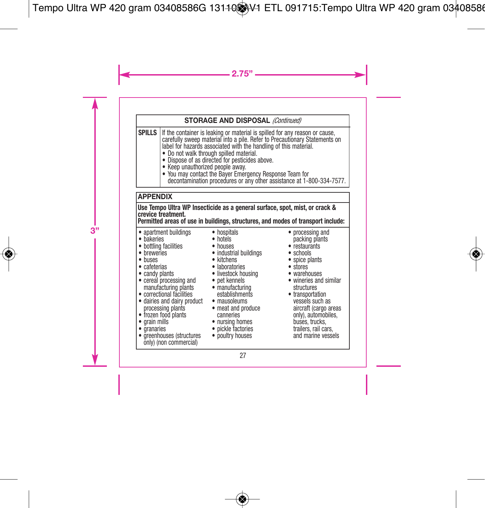#### **STORAGE AND DISPOSAL** *(Continued)*

**SPILLS** If the container is leaking or material is spilled for any reason or cause carefully sweep material into a pile. Refer to Precautionary Statements on label for hazards associated with the handling of this material.

- Do not walk through spilled material.
- Dispose of as directed for pesticides above.
- Keep unauthorized people away.
- You may contact the Bayer Emergency Response Team for decontamination procedures or any other assistance at 1-800-334-7577.

#### **APPENDIX**

**Use Tempo Ultra WP Insecticide as a general surface, spot, mist, or crack & crevice treatment.**

**Permitted areas of use in buildings, structures, and modes of transport include:**

- apartment buildings
- bakeries
- bakeries<br>• bottling facilities
- breweries
- buses
- cafeterias
- candy plants
- cereal processing and pet kennels manufacturing plants
- 
- correctional facilities dairies and dairy product establishments mausoleums
- processing plants frozen food plants grain mills
- 
- $\bullet$  granaries
- greenhouses (structures only) (non commercial)
- hospitals
- hotels
- houses
- industrial buildings<br>• kitchens
- 
- kitchens laboratories
- livestock housing
	-
	- manufacturing structures transportation
	-
	-
	- nursing homes
	- pickle factories
	- poultry houses
- processing and packing plants
- restaurants
- schools
- spice plants
- stores
- warehouses
- wineries and similar
- meat and produce canneries aircraft (cargo areas only), automobiles, vessels such as buses, trucks,<br>trailers, rail cars, and marine vessels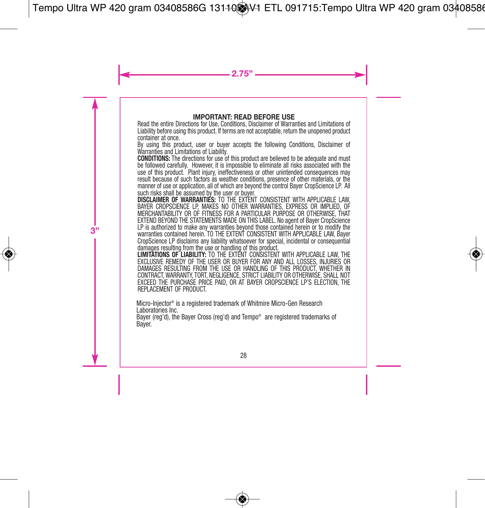#### **IMPORTANT: READ BEFORE USE**

Read the entire Directions for Use, Conditions, Disclaimer of Warranties and Limitations of Liability before using this product. If terms are not acceptable, return the unopened product container at once.

By using this product, user or buyer accepts the following Conditions, Disclaimer of Warranties and Limitations of Liability.

**CONDITIONS:** The directions for use of this product are believed to be adequate and must be followed carefully. However, it is impossible to eliminate all risks associated with the use of this product. Plant injury, ineffectiveness or other unintended consequences may result because of such factors as weather conditions, presence of other materials, or the manner of use or application, all of which are beyond the control Bayer CropScience LP. All such risks shall be assumed by the user or buyer.

**DISCLAIMER OF WARRANTIES:** TO THE EXTENT CONSISTENT WITH APPLICABLE LAW, BAYER CROPSCIENCE LP, MAKES NO OTHER WARRANTIES, EXPRESS OR IMPLIED, OF MERCHANTABILITY OR OF FITNESS FOR A PARTICULAR PURPOSE OR OTHERWISE, THAT EXTEND BEYOND THE STATEMENTS MADE ON THIS LABEL. No agent of Bayer CropScience LP is authorized to make any warranties beyond those contained herein or to modify the warranties contained herein. TO THE EXTENT CONSISTENT WITH APPLICABLE LAW, Bayer CropScience LP disclaims any liability whatsoever for special, incidental or consequential damages resulting from the use or handling of this product.

**LIMITATIONS OF LIABILITY:** TO THE EXTENT CONSISTENT WITH APPLICABLE LAW, THE EXCLUSIVE REMEDY OF THE USER OR BUYER FOR ANY AND ALL LOSSES, INJURIES OR DAMAGES RESULTING FROM THE USE OR HANDLING OF THIS PRODUCT, WHETHER IN CONTRACT, WARRANTY TORT, NEGLIGENCE, STRICT LIABILITY OR OTHERWISE, SHALL NOT EXCEED THE PURCHASE PRICE PAID, OR AT BAYER CROPSCIENCE LP'S ELECTION, THE REPLACEMENT OF PRODUCT.

Micro-Injector ® is a registered trademark of Whitmire Micro-Gen Research Laboratories Inc.

Bayer (reg'd), the Bayer Cross (reg'd) and Tempo® are registered trademarks of Bayer.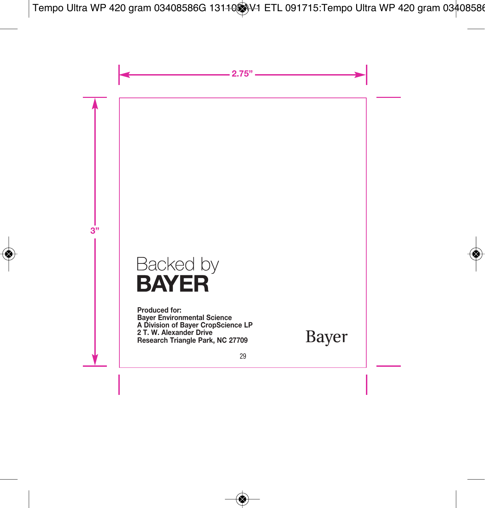# Backed by **BAYER**

**Produced for: Bayer Environmental Science A Division of Bayer CropScience LP 2 T. W. Alexander Drive Research Triangle Park, NC 27709**

Bayer